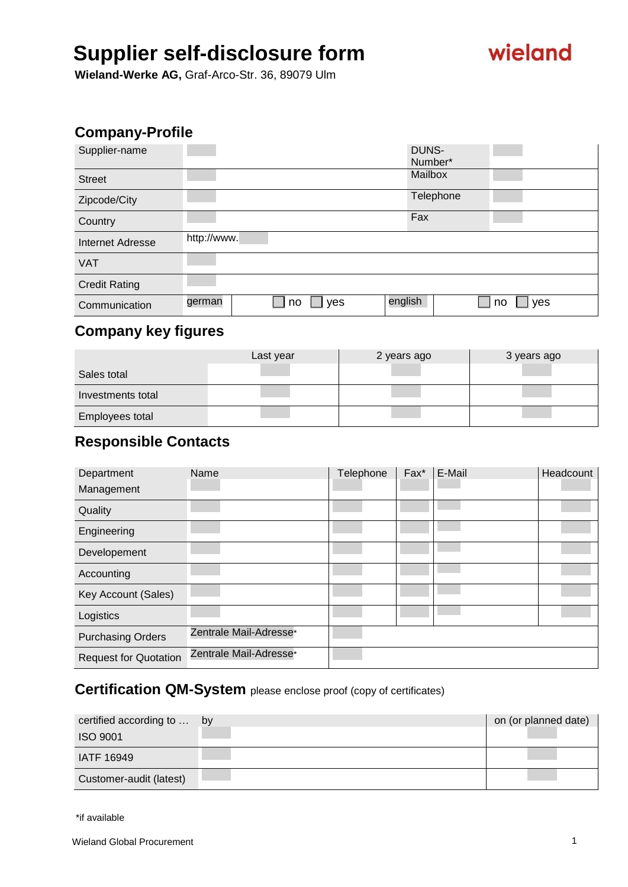# wieland

**Wieland-Werke AG,** Graf-Arco-Str. 36, 89079 Ulm

### **Company-Profile**

| Supplier-name        | DUNS-                                       |  |
|----------------------|---------------------------------------------|--|
|                      | Number*                                     |  |
| <b>Street</b>        | Mailbox                                     |  |
| Zipcode/City         | Telephone                                   |  |
| Country              | Fax                                         |  |
| Internet Adresse     | http://www.                                 |  |
| <b>VAT</b>           |                                             |  |
| <b>Credit Rating</b> |                                             |  |
| Communication        | english<br>german<br>yes<br>yes<br>no<br>no |  |
|                      |                                             |  |

## **Company key figures**

|                   | Last year | 2 years ago | 3 years ago |
|-------------------|-----------|-------------|-------------|
| Sales total       |           |             |             |
| Investments total |           |             |             |
| Employees total   |           |             |             |

### **Responsible Contacts**

| Department                   | Name                   | Telephone | Fax* | E-Mail | Headcount |
|------------------------------|------------------------|-----------|------|--------|-----------|
| Management                   |                        |           |      |        |           |
| Quality                      |                        |           |      |        |           |
| Engineering                  |                        |           |      |        |           |
| Developement                 |                        |           |      |        |           |
| Accounting                   |                        |           |      |        |           |
| Key Account (Sales)          |                        |           |      |        |           |
| Logistics                    |                        |           |      |        |           |
| <b>Purchasing Orders</b>     | Zentrale Mail-Adresse* |           |      |        |           |
| <b>Request for Quotation</b> | Zentrale Mail-Adresse* |           |      |        |           |

### **Certification QM-System** please enclose proof (copy of certificates)

| certified according to  by | on (or planned date) |
|----------------------------|----------------------|
| <b>ISO 9001</b>            |                      |
| <b>IATF 16949</b>          |                      |
| Customer-audit (latest)    |                      |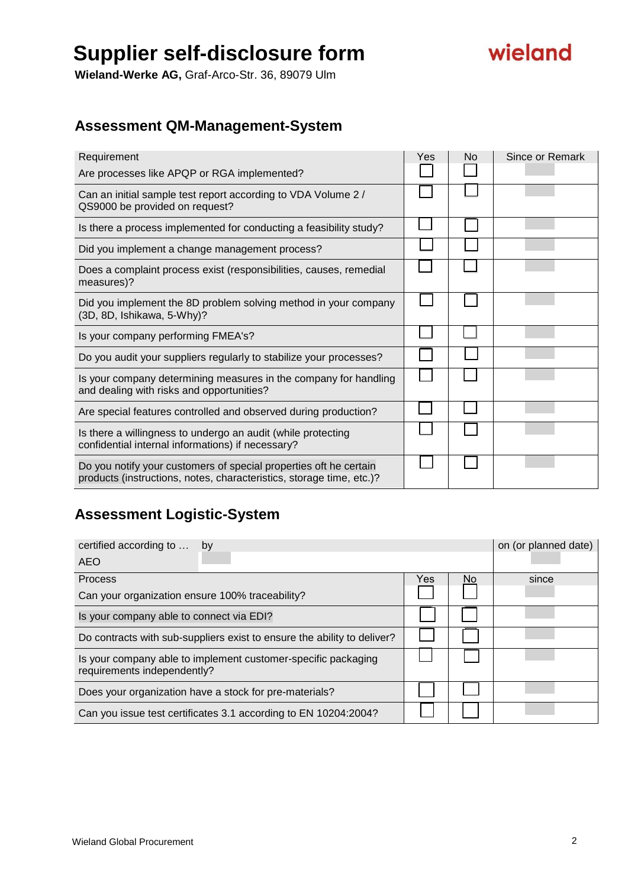

**Wieland-Werke AG,** Graf-Arco-Str. 36, 89079 Ulm

## **Assessment QM-Management-System**

| Requirement                                                                                                                               | Yes | No | Since or Remark |
|-------------------------------------------------------------------------------------------------------------------------------------------|-----|----|-----------------|
| Are processes like APQP or RGA implemented?                                                                                               |     |    |                 |
| Can an initial sample test report according to VDA Volume 2 /<br>QS9000 be provided on request?                                           |     |    |                 |
| Is there a process implemented for conducting a feasibility study?                                                                        |     |    |                 |
| Did you implement a change management process?                                                                                            |     |    |                 |
| Does a complaint process exist (responsibilities, causes, remedial<br>measures)?                                                          |     |    |                 |
| Did you implement the 8D problem solving method in your company<br>(3D, 8D, Ishikawa, 5-Why)?                                             |     |    |                 |
| Is your company performing FMEA's?                                                                                                        |     |    |                 |
| Do you audit your suppliers regularly to stabilize your processes?                                                                        |     |    |                 |
| Is your company determining measures in the company for handling<br>and dealing with risks and opportunities?                             |     |    |                 |
| Are special features controlled and observed during production?                                                                           |     |    |                 |
| Is there a willingness to undergo an audit (while protecting<br>confidential internal informations) if necessary?                         |     |    |                 |
| Do you notify your customers of special properties oft he certain<br>products (instructions, notes, characteristics, storage time, etc.)? |     |    |                 |

## **Assessment Logistic-System**

| certified according to<br>by                                                                 |     |     | on (or planned date) |
|----------------------------------------------------------------------------------------------|-----|-----|----------------------|
| <b>AEO</b>                                                                                   |     |     |                      |
| Process                                                                                      | Yes | No. | since                |
| Can your organization ensure 100% traceability?                                              |     |     |                      |
| Is your company able to connect via EDI?                                                     |     |     |                      |
| Do contracts with sub-suppliers exist to ensure the ability to deliver?                      |     |     |                      |
| Is your company able to implement customer-specific packaging<br>requirements independently? |     |     |                      |
| Does your organization have a stock for pre-materials?                                       |     |     |                      |
| Can you issue test certificates 3.1 according to EN 10204:2004?                              |     |     |                      |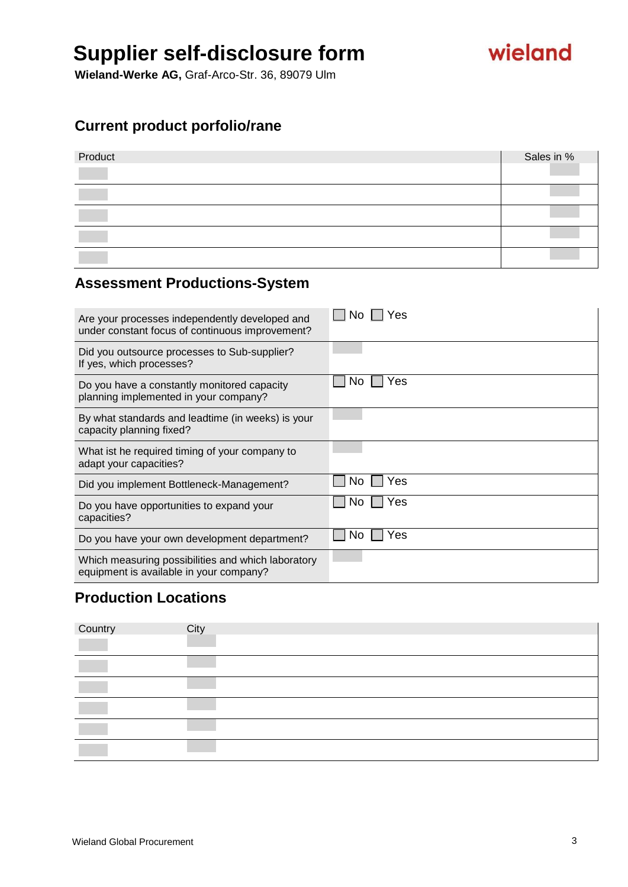wieland

**Wieland-Werke AG,** Graf-Arco-Str. 36, 89079 Ulm

## **Current product porfolio/rane**

| Product | Sales in % |
|---------|------------|
|         |            |
|         |            |
|         |            |
|         |            |

### **Assessment Productions-System**

| Are your processes independently developed and<br>under constant focus of continuous improvement? | Yes       |
|---------------------------------------------------------------------------------------------------|-----------|
| Did you outsource processes to Sub-supplier?<br>If yes, which processes?                          |           |
| Do you have a constantly monitored capacity<br>planning implemented in your company?              | res<br>N0 |
| By what standards and leadtime (in weeks) is your<br>capacity planning fixed?                     |           |
| What ist he required timing of your company to<br>adapt your capacities?                          |           |
| Did you implement Bottleneck-Management?                                                          | Yes<br>Nο |
| Do you have opportunities to expand your<br>capacities?                                           | /es<br>NΟ |
| Do you have your own development department?                                                      | Yes<br>Nο |
| Which measuring possibilities and which laboratory<br>equipment is available in your company?     |           |

## **Production Locations**

| Country | City |
|---------|------|
|         |      |
|         |      |
|         |      |
|         |      |
|         |      |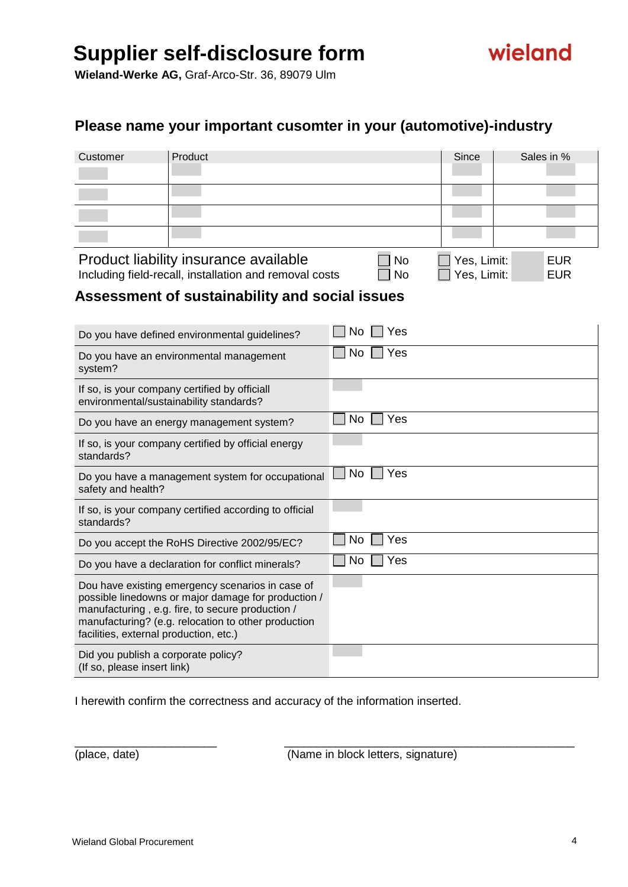

**Wieland-Werke AG,** Graf-Arco-Str. 36, 89079 Ulm

### **Please name your important cusomter in your (automotive)-industry**

| Customer | Product                               | Since             | Sales in % |
|----------|---------------------------------------|-------------------|------------|
|          |                                       |                   |            |
|          |                                       |                   |            |
|          |                                       |                   |            |
|          |                                       |                   |            |
|          | Product liability insurance available | Yes, Limit:<br>No | <b>EUR</b> |

Including field-recall, installation and removal costs  $\Box$  No  $\Box$  Yes, Limit: EUR

### **Assessment of sustainability and social issues**

| Do you have defined environmental guidelines?                                                                                                                                                                                                                | Yes<br>No  |
|--------------------------------------------------------------------------------------------------------------------------------------------------------------------------------------------------------------------------------------------------------------|------------|
| Do you have an environmental management<br>system?                                                                                                                                                                                                           | Yes<br>No. |
| If so, is your company certified by officiall<br>environmental/sustainability standards?                                                                                                                                                                     |            |
| Do you have an energy management system?                                                                                                                                                                                                                     | Yes<br>No. |
| If so, is your company certified by official energy<br>standards?                                                                                                                                                                                            |            |
| Do you have a management system for occupational<br>safety and health?                                                                                                                                                                                       | No.<br>Yes |
|                                                                                                                                                                                                                                                              |            |
| If so, is your company certified according to official<br>standards?                                                                                                                                                                                         |            |
| Do you accept the RoHS Directive 2002/95/EC?                                                                                                                                                                                                                 | No.<br>Yes |
| Do you have a declaration for conflict minerals?                                                                                                                                                                                                             | Yes<br>No. |
| Dou have existing emergency scenarios in case of<br>possible linedowns or major damage for production /<br>manufacturing, e.g. fire, to secure production /<br>manufacturing? (e.g. relocation to other production<br>facilities, external production, etc.) |            |

I herewith confirm the correctness and accuracy of the information inserted.

(place, date) (Name in block letters, signature)

\_\_\_\_\_\_\_\_\_\_\_\_\_\_\_\_\_\_\_\_\_\_ \_\_\_\_\_\_\_\_\_\_\_\_\_\_\_\_\_\_\_\_\_\_\_\_\_\_\_\_\_\_\_\_\_\_\_\_\_\_\_\_\_\_\_\_\_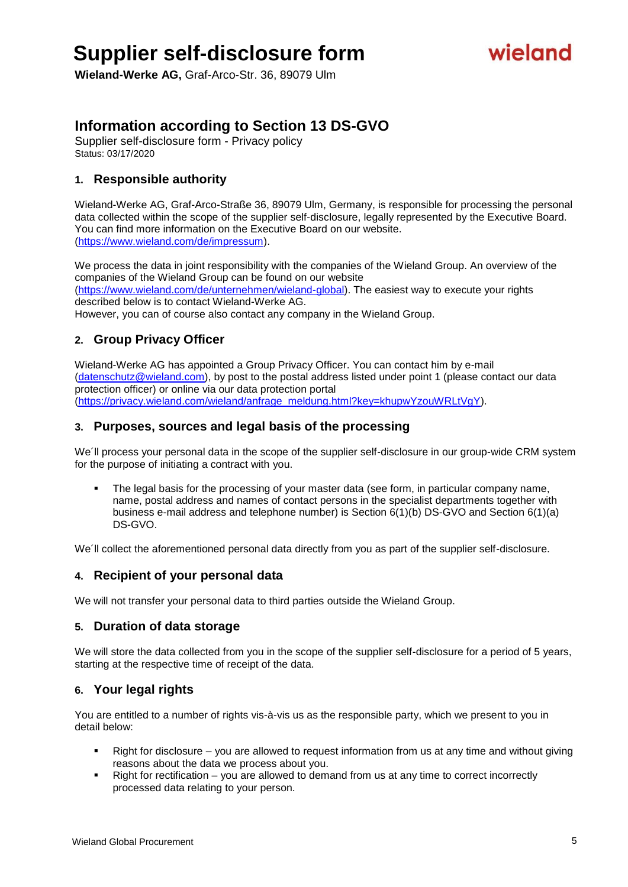# wieland

**Wieland-Werke AG,** Graf-Arco-Str. 36, 89079 Ulm

### **Information according to Section 13 DS-GVO**

Supplier self-disclosure form - Privacy policy Status: 03/17/2020

#### **1. Responsible authority**

Wieland-Werke AG, Graf-Arco-Straße 36, 89079 Ulm, Germany, is responsible for processing the personal data collected within the scope of the supplier self-disclosure, legally represented by the Executive Board. You can find more information on the Executive Board on our website. [\(https://www.wieland.com/de/impressum\)](https://www.wieland.com/de/impressum).

We process the data in joint responsibility with the companies of the Wieland Group. An overview of the companies of the Wieland Group can be found on our website

[\(https://www.wieland.com/de/unternehmen/wieland-global\)](https://www.wieland.com/de/unternehmen/wieland-global). The easiest way to execute your rights described below is to contact Wieland-Werke AG.

However, you can of course also contact any company in the Wieland Group.

#### **2. Group Privacy Officer**

Wieland-Werke AG has appointed a Group Privacy Officer. You can contact him by e-mail [\(datenschutz@wieland.com\)](mailto:datenschutz@wieland.com), by post to the postal address listed under point 1 (please contact our data protection officer) or online via our data protection portal [\(https://privacy.wieland.com/wieland/anfrage\\_meldung.html?key=khupwYzouWRLtVgY\)](https://privacy.wieland.com/wieland/anfrage_meldung.html?key=khupwYzouWRLtVgY).

#### **3. Purposes, sources and legal basis of the processing**

We´ll process your personal data in the scope of the supplier self-disclosure in our group-wide CRM system for the purpose of initiating a contract with you.

 The legal basis for the processing of your master data (see form, in particular company name, name, postal address and names of contact persons in the specialist departments together with business e-mail address and telephone number) is Section 6(1)(b) DS-GVO and Section 6(1)(a) DS-GVO.

We'll collect the aforementioned personal data directly from you as part of the supplier self-disclosure.

#### **4. Recipient of your personal data**

We will not transfer your personal data to third parties outside the Wieland Group.

#### **5. Duration of data storage**

We will store the data collected from you in the scope of the supplier self-disclosure for a period of 5 years, starting at the respective time of receipt of the data.

#### **6. Your legal rights**

You are entitled to a number of rights vis-à-vis us as the responsible party, which we present to you in detail below:

- Right for disclosure you are allowed to request information from us at any time and without giving reasons about the data we process about you.
- Right for rectification you are allowed to demand from us at any time to correct incorrectly processed data relating to your person.